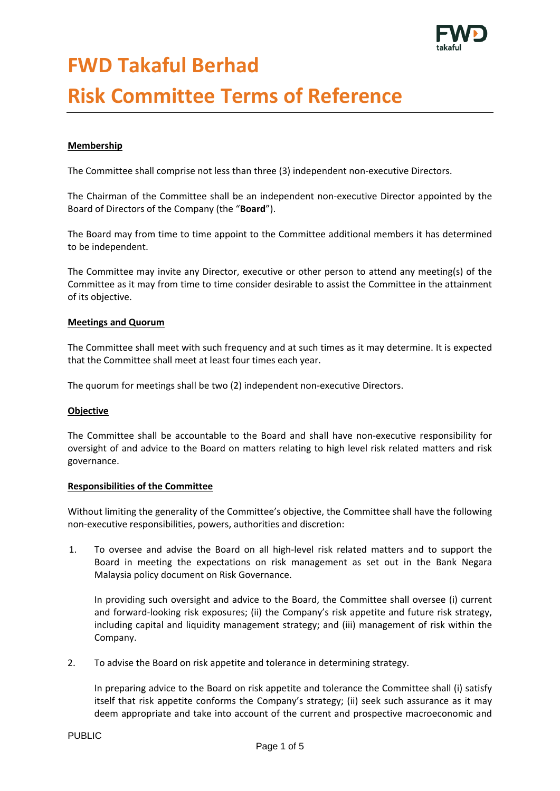

# **FWD Takaful Berhad**

# **Risk Committee Terms of Reference**

### **Membership**

The Committee shall comprise not less than three (3) independent non-executive Directors.

The Chairman of the Committee shall be an independent non-executive Director appointed by the Board of Directors of the Company (the "**Board**").

The Board may from time to time appoint to the Committee additional members it has determined to be independent.

The Committee may invite any Director, executive or other person to attend any meeting(s) of the Committee as it may from time to time consider desirable to assist the Committee in the attainment of its objective.

#### **Meetings and Quorum**

The Committee shall meet with such frequency and at such times as it may determine. It is expected that the Committee shall meet at least four times each year.

The quorum for meetings shall be two (2) independent non-executive Directors.

#### **Objective**

The Committee shall be accountable to the Board and shall have non-executive responsibility for oversight of and advice to the Board on matters relating to high level risk related matters and risk governance.

#### **Responsibilities of the Committee**

Without limiting the generality of the Committee's objective, the Committee shall have the following non-executive responsibilities, powers, authorities and discretion:

1. To oversee and advise the Board on all high-level risk related matters and to support the Board in meeting the expectations on risk management as set out in the Bank Negara Malaysia policy document on Risk Governance.

In providing such oversight and advice to the Board, the Committee shall oversee (i) current and forward-looking risk exposures; (ii) the Company's risk appetite and future risk strategy, including capital and liquidity management strategy; and (iii) management of risk within the Company.

2. To advise the Board on risk appetite and tolerance in determining strategy.

In preparing advice to the Board on risk appetite and tolerance the Committee shall (i) satisfy itself that risk appetite conforms the Company's strategy; (ii) seek such assurance as it may deem appropriate and take into account of the current and prospective macroeconomic and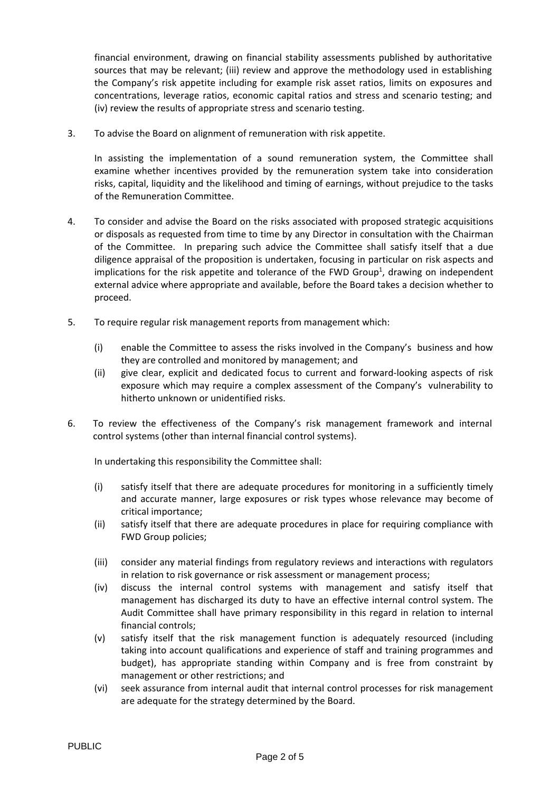financial environment, drawing on financial stability assessments published by authoritative sources that may be relevant; (iii) review and approve the methodology used in establishing the Company's risk appetite including for example risk asset ratios, limits on exposures and concentrations, leverage ratios, economic capital ratios and stress and scenario testing; and (iv) review the results of appropriate stress and scenario testing.

3. To advise the Board on alignment of remuneration with risk appetite.

In assisting the implementation of a sound remuneration system, the Committee shall examine whether incentives provided by the remuneration system take into consideration risks, capital, liquidity and the likelihood and timing of earnings, without prejudice to the tasks of the Remuneration Committee.

- 4. To consider and advise the Board on the risks associated with proposed strategic acquisitions or disposals as requested from time to time by any Director in consultation with the Chairman of the Committee. In preparing such advice the Committee shall satisfy itself that a due diligence appraisal of the proposition is undertaken, focusing in particular on risk aspects and implications for the risk appetite and tolerance of the FWD Group<sup>1</sup>, drawing on independent external advice where appropriate and available, before the Board takes a decision whether to proceed.
- 5. To require regular risk management reports from management which:
	- (i) enable the Committee to assess the risks involved in the Company's business and how they are controlled and monitored by management; and
	- (ii) give clear, explicit and dedicated focus to current and forward-looking aspects of risk exposure which may require a complex assessment of the Company's vulnerability to hitherto unknown or unidentified risks.
- 6. To review the effectiveness of the Company's risk management framework and internal control systems (other than internal financial control systems).

In undertaking this responsibility the Committee shall:

- (i) satisfy itself that there are adequate procedures for monitoring in a sufficiently timely and accurate manner, large exposures or risk types whose relevance may become of critical importance;
- (ii) satisfy itself that there are adequate procedures in place for requiring compliance with FWD Group policies;
- (iii) consider any material findings from regulatory reviews and interactions with regulators in relation to risk governance or risk assessment or management process;
- (iv) discuss the internal control systems with management and satisfy itself that management has discharged its duty to have an effective internal control system. The Audit Committee shall have primary responsibility in this regard in relation to internal financial controls;
- (v) satisfy itself that the risk management function is adequately resourced (including taking into account qualifications and experience of staff and training programmes and budget), has appropriate standing within Company and is free from constraint by management or other restrictions; and
- (vi) seek assurance from internal audit that internal control processes for risk management are adequate for the strategy determined by the Board.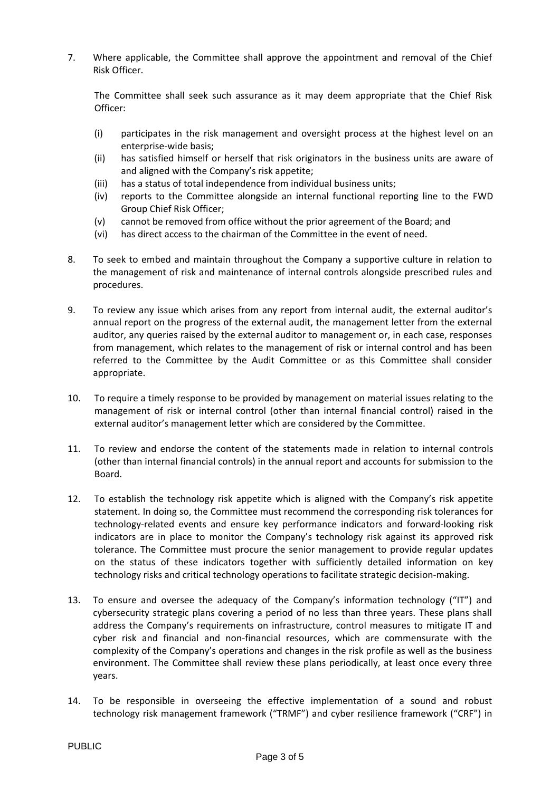7. Where applicable, the Committee shall approve the appointment and removal of the Chief Risk Officer.

The Committee shall seek such assurance as it may deem appropriate that the Chief Risk Officer:

- (i) participates in the risk management and oversight process at the highest level on an enterprise-wide basis;
- (ii) has satisfied himself or herself that risk originators in the business units are aware of and aligned with the Company's risk appetite;
- (iii) has a status of total independence from individual business units;
- (iv) reports to the Committee alongside an internal functional reporting line to the FWD Group Chief Risk Officer;
- (v) cannot be removed from office without the prior agreement of the Board; and
- (vi) has direct access to the chairman of the Committee in the event of need.
- 8. To seek to embed and maintain throughout the Company a supportive culture in relation to the management of risk and maintenance of internal controls alongside prescribed rules and procedures.
- 9. To review any issue which arises from any report from internal audit, the external auditor's annual report on the progress of the external audit, the management letter from the external auditor, any queries raised by the external auditor to management or, in each case, responses from management, which relates to the management of risk or internal control and has been referred to the Committee by the Audit Committee or as this Committee shall consider appropriate.
- 10. To require a timely response to be provided by management on material issues relating to the management of risk or internal control (other than internal financial control) raised in the external auditor's management letter which are considered by the Committee.
- 11. To review and endorse the content of the statements made in relation to internal controls (other than internal financial controls) in the annual report and accounts for submission to the Board.
- 12. To establish the technology risk appetite which is aligned with the Company's risk appetite statement. In doing so, the Committee must recommend the corresponding risk tolerances for technology-related events and ensure key performance indicators and forward-looking risk indicators are in place to monitor the Company's technology risk against its approved risk tolerance. The Committee must procure the senior management to provide regular updates on the status of these indicators together with sufficiently detailed information on key technology risks and critical technology operations to facilitate strategic decision-making.
- 13. To ensure and oversee the adequacy of the Company's information technology ("IT") and cybersecurity strategic plans covering a period of no less than three years. These plans shall address the Company's requirements on infrastructure, control measures to mitigate IT and cyber risk and financial and non-financial resources, which are commensurate with the complexity of the Company's operations and changes in the risk profile as well as the business environment. The Committee shall review these plans periodically, at least once every three years.
- 14. To be responsible in overseeing the effective implementation of a sound and robust technology risk management framework ("TRMF") and cyber resilience framework ("CRF") in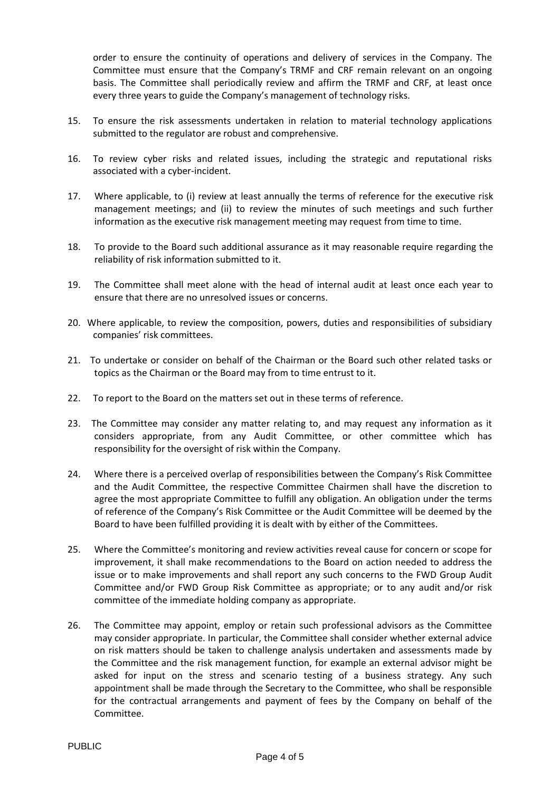order to ensure the continuity of operations and delivery of services in the Company. The Committee must ensure that the Company's TRMF and CRF remain relevant on an ongoing basis. The Committee shall periodically review and affirm the TRMF and CRF, at least once every three years to guide the Company's management of technology risks.

- 15. To ensure the risk assessments undertaken in relation to material technology applications submitted to the regulator are robust and comprehensive.
- 16. To review cyber risks and related issues, including the strategic and reputational risks associated with a cyber-incident.
- 17. Where applicable, to (i) review at least annually the terms of reference for the executive risk management meetings; and (ii) to review the minutes of such meetings and such further information as the executive risk management meeting may request from time to time.
- 18. To provide to the Board such additional assurance as it may reasonable require regarding the reliability of risk information submitted to it.
- 19. The Committee shall meet alone with the head of internal audit at least once each year to ensure that there are no unresolved issues or concerns.
- 20. Where applicable, to review the composition, powers, duties and responsibilities of subsidiary companies' risk committees.
- 21. To undertake or consider on behalf of the Chairman or the Board such other related tasks or topics as the Chairman or the Board may from to time entrust to it.
- 22. To report to the Board on the matters set out in these terms of reference.
- 23. The Committee may consider any matter relating to, and may request any information as it considers appropriate, from any Audit Committee, or other committee which has responsibility for the oversight of risk within the Company.
- 24. Where there is a perceived overlap of responsibilities between the Company's Risk Committee and the Audit Committee, the respective Committee Chairmen shall have the discretion to agree the most appropriate Committee to fulfill any obligation. An obligation under the terms of reference of the Company's Risk Committee or the Audit Committee will be deemed by the Board to have been fulfilled providing it is dealt with by either of the Committees.
- 25. Where the Committee's monitoring and review activities reveal cause for concern or scope for improvement, it shall make recommendations to the Board on action needed to address the issue or to make improvements and shall report any such concerns to the FWD Group Audit Committee and/or FWD Group Risk Committee as appropriate; or to any audit and/or risk committee of the immediate holding company as appropriate.
- 26. The Committee may appoint, employ or retain such professional advisors as the Committee may consider appropriate. In particular, the Committee shall consider whether external advice on risk matters should be taken to challenge analysis undertaken and assessments made by the Committee and the risk management function, for example an external advisor might be asked for input on the stress and scenario testing of a business strategy. Any such appointment shall be made through the Secretary to the Committee, who shall be responsible for the contractual arrangements and payment of fees by the Company on behalf of the Committee.